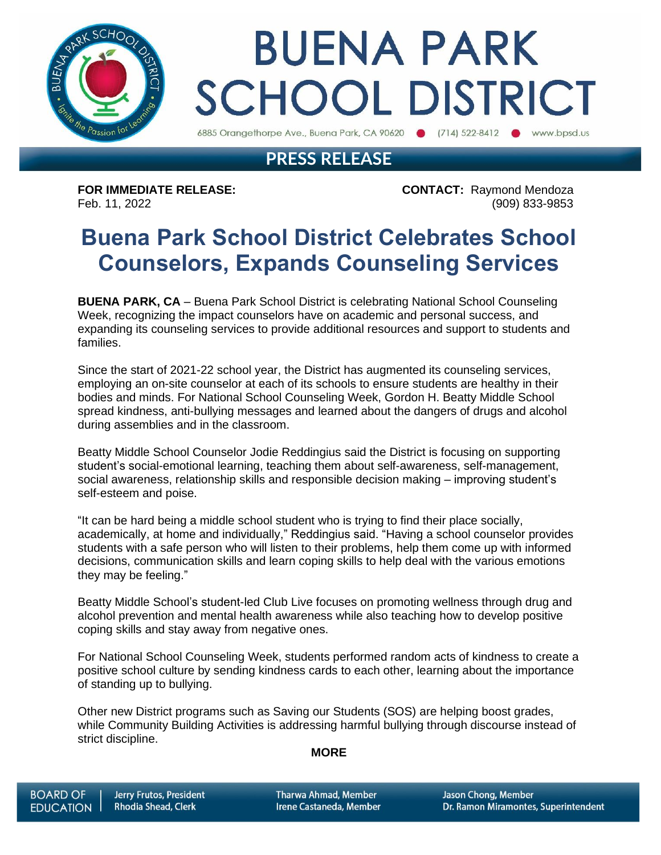

# **BUENA PARK SCHOOL DISTRICT**

6885 Orangethorpe Ave., Buena Park, CA 90620 (714) 522-8412 www.bpsd.us

### **PRESS RELEASE**

**FOR IMMEDIATE RELEASE: CONTACT:** Raymond Mendoza Feb. 11, 2022 (909) 833-9853

## **Buena Park School District Celebrates School Counselors, Expands Counseling Services**

**BUENA PARK, CA** – Buena Park School District is celebrating National School Counseling Week, recognizing the impact counselors have on academic and personal success, and expanding its counseling services to provide additional resources and support to students and families.

Since the start of 2021-22 school year, the District has augmented its counseling services, employing an on-site counselor at each of its schools to ensure students are healthy in their bodies and minds. For National School Counseling Week, Gordon H. Beatty Middle School spread kindness, anti-bullying messages and learned about the dangers of drugs and alcohol during assemblies and in the classroom.

Beatty Middle School Counselor Jodie Reddingius said the District is focusing on supporting student's social-emotional learning, teaching them about self-awareness, self-management, social awareness, relationship skills and responsible decision making – improving student's self-esteem and poise.

"It can be hard being a middle school student who is trying to find their place socially, academically, at home and individually," Reddingius said. "Having a school counselor provides students with a safe person who will listen to their problems, help them come up with informed decisions, communication skills and learn coping skills to help deal with the various emotions they may be feeling."

Beatty Middle School's student-led Club Live focuses on promoting wellness through drug and alcohol prevention and mental health awareness while also teaching how to develop positive coping skills and stay away from negative ones.

For National School Counseling Week, students performed random acts of kindness to create a positive school culture by sending kindness cards to each other, learning about the importance of standing up to bullying.

Other new District programs such as Saving our Students (SOS) are helping boost grades, while Community Building Activities is addressing harmful bullying through discourse instead of strict discipline.

#### **MORE**

**Tharwa Ahmad, Member** Irene Castaneda, Member